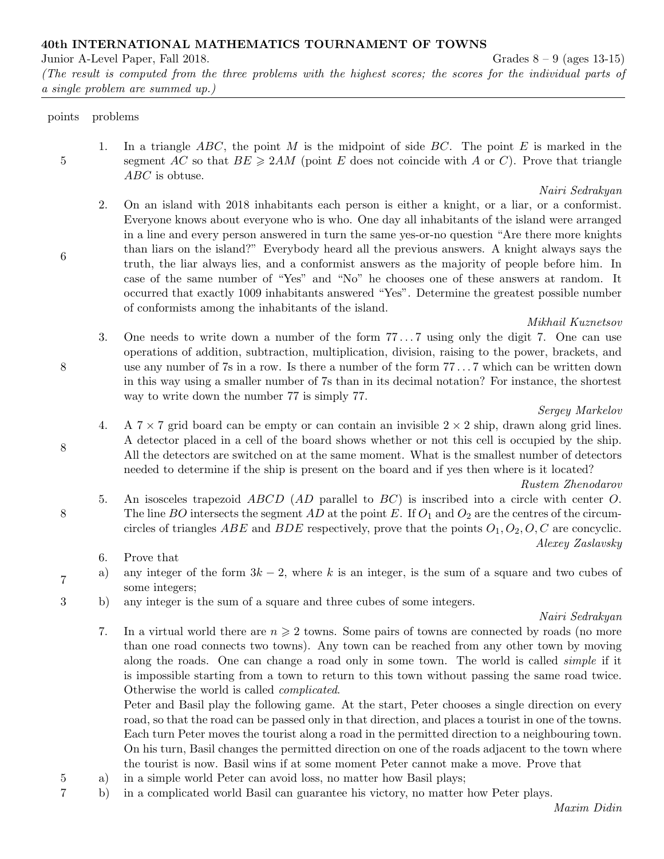40th INTERNATIONAL MATHEMATICS TOURNAMENT OF TOWNS

Junior A-Level Paper, Fall 2018. Grades 8 – 9 (ages 13-15)

(The result is computed from the three problems with the highest scores; the scores for the individual parts of a single problem are summed up.)

points problems

5

6

8

8

8

7

1. In a triangle ABC, the point M is the midpoint of side BC. The point E is marked in the segment AC so that  $BE \geq 2AM$  (point E does not coincide with A or C). Prove that triangle ABC is obtuse.

Nairi Sedrakyan

2. On an island with 2018 inhabitants each person is either a knight, or a liar, or a conformist. Everyone knows about everyone who is who. One day all inhabitants of the island were arranged in a line and every person answered in turn the same yes-or-no question "Are there more knights than liars on the island?" Everybody heard all the previous answers. A knight always says the truth, the liar always lies, and a conformist answers as the majority of people before him. In case of the same number of "Yes" and "No" he chooses one of these answers at random. It occurred that exactly 1009 inhabitants answered "Yes". Determine the greatest possible number of conformists among the inhabitants of the island.

# Mikhail Kuznetsov

3. One needs to write down a number of the form 77 . . . 7 using only the digit 7. One can use operations of addition, subtraction, multiplication, division, raising to the power, brackets, and use any number of 7s in a row. Is there a number of the form 77 . . . 7 which can be written down in this way using a smaller number of 7s than in its decimal notation? For instance, the shortest way to write down the number 77 is simply 77.

# Sergey Markelov

4. A  $7 \times 7$  grid board can be empty or can contain an invisible  $2 \times 2$  ship, drawn along grid lines. A detector placed in a cell of the board shows whether or not this cell is occupied by the ship. All the detectors are switched on at the same moment. What is the smallest number of detectors needed to determine if the ship is present on the board and if yes then where is it located?

# Rustem Zhenodarov

- 5. An isosceles trapezoid ABCD (AD parallel to BC) is inscribed into a circle with center O. The line BO intersects the segment AD at the point E. If  $O_1$  and  $O_2$  are the centres of the circumcircles of triangles ABE and BDE respectively, prove that the points  $O_1, O_2, O, C$  are concyclic. Alexey Zaslavsky
	- 6. Prove that
- a) any integer of the form  $3k 2$ , where k is an integer, is the sum of a square and two cubes of some integers;
- 3 b) any integer is the sum of a square and three cubes of some integers.

# Nairi Sedrakyan

7. In a virtual world there are  $n \geqslant 2$  towns. Some pairs of towns are connected by roads (no more than one road connects two towns). Any town can be reached from any other town by moving along the roads. One can change a road only in some town. The world is called *simple* if it is impossible starting from a town to return to this town without passing the same road twice. Otherwise the world is called complicated.

Peter and Basil play the following game. At the start, Peter chooses a single direction on every road, so that the road can be passed only in that direction, and places a tourist in one of the towns. Each turn Peter moves the tourist along a road in the permitted direction to a neighbouring town. On his turn, Basil changes the permitted direction on one of the roads adjacent to the town where the tourist is now. Basil wins if at some moment Peter cannot make a move. Prove that

- 5 a) in a simple world Peter can avoid loss, no matter how Basil plays;
- 7 b) in a complicated world Basil can guarantee his victory, no matter how Peter plays.